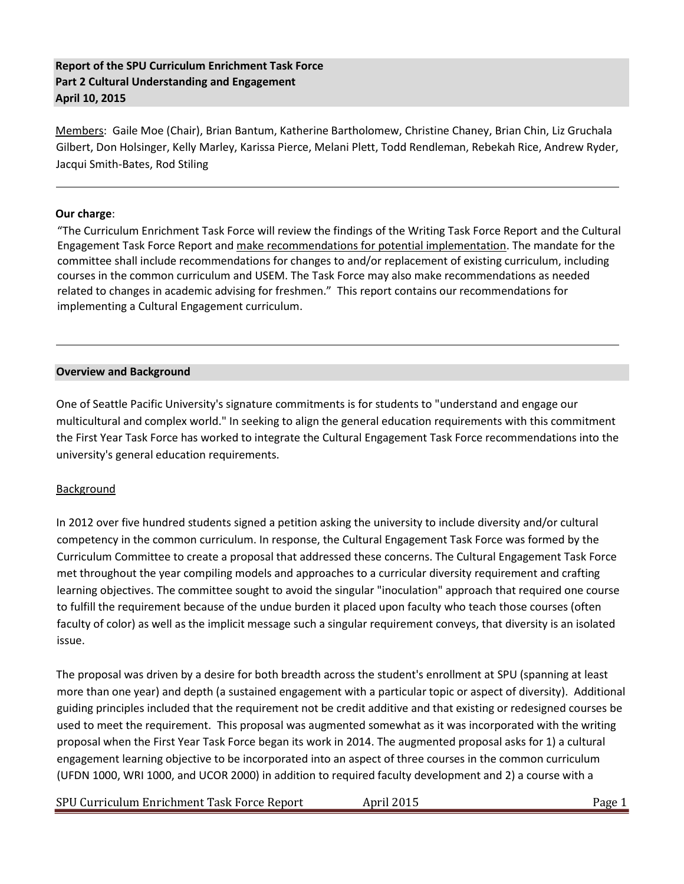## **Report of the SPU Curriculum Enrichment Task Force Part 2 Cultural Understanding and Engagement April 10, 2015**

Members: Gaile Moe (Chair), Brian Bantum, Katherine Bartholomew, Christine Chaney, Brian Chin, Liz Gruchala Gilbert, Don Holsinger, Kelly Marley, Karissa Pierce, Melani Plett, Todd Rendleman, Rebekah Rice, Andrew Ryder, Jacqui Smith-Bates, Rod Stiling

#### **Our charge**:

"The Curriculum Enrichment Task Force will review the findings of the Writing Task Force Report and the Cultural Engagement Task Force Report and make recommendations for potential implementation. The mandate for the committee shall include recommendations for changes to and/or replacement of existing curriculum, including courses in the common curriculum and USEM. The Task Force may also make recommendations as needed related to changes in academic advising for freshmen." This report contains our recommendations for implementing a Cultural Engagement curriculum.

#### **Overview and Background**

One of Seattle Pacific University's signature commitments is for students to "understand and engage our multicultural and complex world." In seeking to align the general education requirements with this commitment the First Year Task Force has worked to integrate the Cultural Engagement Task Force recommendations into the university's general education requirements.

#### Background

In 2012 over five hundred students signed a petition asking the university to include diversity and/or cultural competency in the common curriculum. In response, the Cultural Engagement Task Force was formed by the Curriculum Committee to create a proposal that addressed these concerns. The Cultural Engagement Task Force met throughout the year compiling models and approaches to a curricular diversity requirement and crafting learning objectives. The committee sought to avoid the singular "inoculation" approach that required one course to fulfill the requirement because of the undue burden it placed upon faculty who teach those courses (often faculty of color) as well as the implicit message such a singular requirement conveys, that diversity is an isolated issue.

The proposal was driven by a desire for both breadth across the student's enrollment at SPU (spanning at least more than one year) and depth (a sustained engagement with a particular topic or aspect of diversity). Additional guiding principles included that the requirement not be credit additive and that existing or redesigned courses be used to meet the requirement. This proposal was augmented somewhat as it was incorporated with the writing proposal when the First Year Task Force began its work in 2014. The augmented proposal asks for 1) a cultural engagement learning objective to be incorporated into an aspect of three courses in the common curriculum (UFDN 1000, WRI 1000, and UCOR 2000) in addition to required faculty development and 2) a course with a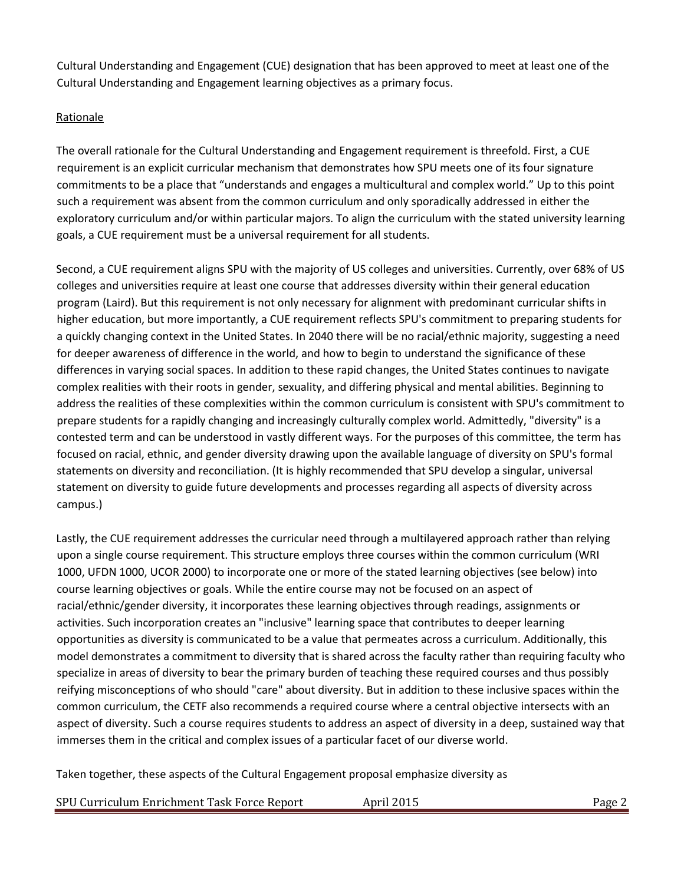Cultural Understanding and Engagement (CUE) designation that has been approved to meet at least one of the Cultural Understanding and Engagement learning objectives as a primary focus.

## Rationale

The overall rationale for the Cultural Understanding and Engagement requirement is threefold. First, a CUE requirement is an explicit curricular mechanism that demonstrates how SPU meets one of its four signature commitments to be a place that "understands and engages a multicultural and complex world." Up to this point such a requirement was absent from the common curriculum and only sporadically addressed in either the exploratory curriculum and/or within particular majors. To align the curriculum with the stated university learning goals, a CUE requirement must be a universal requirement for all students.

Second, a CUE requirement aligns SPU with the majority of US colleges and universities. Currently, over 68% of US colleges and universities require at least one course that addresses diversity within their general education program (Laird). But this requirement is not only necessary for alignment with predominant curricular shifts in higher education, but more importantly, a CUE requirement reflects SPU's commitment to preparing students for a quickly changing context in the United States. In 2040 there will be no racial/ethnic majority, suggesting a need for deeper awareness of difference in the world, and how to begin to understand the significance of these differences in varying social spaces. In addition to these rapid changes, the United States continues to navigate complex realities with their roots in gender, sexuality, and differing physical and mental abilities. Beginning to address the realities of these complexities within the common curriculum is consistent with SPU's commitment to prepare students for a rapidly changing and increasingly culturally complex world. Admittedly, "diversity" is a contested term and can be understood in vastly different ways. For the purposes of this committee, the term has focused on racial, ethnic, and gender diversity drawing upon the available language of diversity on SPU's formal statements on diversity and reconciliation. (It is highly recommended that SPU develop a singular, universal statement on diversity to guide future developments and processes regarding all aspects of diversity across campus.)

Lastly, the CUE requirement addresses the curricular need through a multilayered approach rather than relying upon a single course requirement. This structure employs three courses within the common curriculum (WRI 1000, UFDN 1000, UCOR 2000) to incorporate one or more of the stated learning objectives (see below) into course learning objectives or goals. While the entire course may not be focused on an aspect of racial/ethnic/gender diversity, it incorporates these learning objectives through readings, assignments or activities. Such incorporation creates an "inclusive" learning space that contributes to deeper learning opportunities as diversity is communicated to be a value that permeates across a curriculum. Additionally, this model demonstrates a commitment to diversity that is shared across the faculty rather than requiring faculty who specialize in areas of diversity to bear the primary burden of teaching these required courses and thus possibly reifying misconceptions of who should "care" about diversity. But in addition to these inclusive spaces within the common curriculum, the CETF also recommends a required course where a central objective intersects with an aspect of diversity. Such a course requires students to address an aspect of diversity in a deep, sustained way that immerses them in the critical and complex issues of a particular facet of our diverse world.

Taken together, these aspects of the Cultural Engagement proposal emphasize diversity as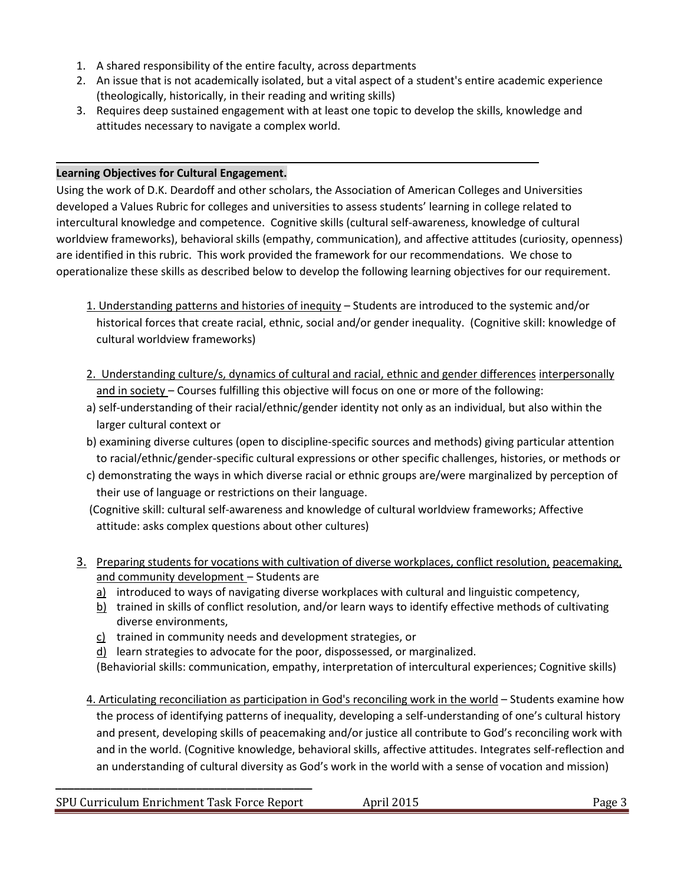- 1. A shared responsibility of the entire faculty, across departments
- 2. An issue that is not academically isolated, but a vital aspect of a student's entire academic experience (theologically, historically, in their reading and writing skills)
- 3. Requires deep sustained engagement with at least one topic to develop the skills, knowledge and attitudes necessary to navigate a complex world.

### **Learning Objectives for Cultural Engagement.**

Using the work of D.K. Deardoff and other scholars, the Association of American Colleges and Universities developed a Values Rubric for colleges and universities to assess students' learning in college related to intercultural knowledge and competence. Cognitive skills (cultural self-awareness, knowledge of cultural worldview frameworks), behavioral skills (empathy, communication), and affective attitudes (curiosity, openness) are identified in this rubric. This work provided the framework for our recommendations. We chose to operationalize these skills as described below to develop the following learning objectives for our requirement.

- 1. Understanding patterns and histories of inequity Students are introduced to the systemic and/or historical forces that create racial, ethnic, social and/or gender inequality. (Cognitive skill: knowledge of cultural worldview frameworks)
- 2. Understanding culture/s, dynamics of cultural and racial, ethnic and gender differences interpersonally and in society – Courses fulfilling this objective will focus on one or more of the following:
- a) self-understanding of their racial/ethnic/gender identity not only as an individual, but also within the larger cultural context or
- b) examining diverse cultures (open to discipline-specific sources and methods) giving particular attention to racial/ethnic/gender-specific cultural expressions or other specific challenges, histories, or methods or
- c) demonstrating the ways in which diverse racial or ethnic groups are/were marginalized by perception of their use of language or restrictions on their language.
- (Cognitive skill: cultural self-awareness and knowledge of cultural worldview frameworks; Affective attitude: asks complex questions about other cultures)
- 3. Preparing students for vocations with cultivation of diverse workplaces, conflict resolution, peacemaking, and community development – Students are
	- a) introduced to ways of navigating diverse workplaces with cultural and linguistic competency,
	- $\underline{b}$  trained in skills of conflict resolution, and/or learn ways to identify effective methods of cultivating diverse environments,
	- c) trained in community needs and development strategies, or

**\_\_\_\_\_\_\_\_\_\_\_\_\_\_\_\_\_\_\_\_\_\_\_\_\_\_\_\_\_\_\_\_\_\_\_\_\_\_\_\_\_\_** 

- d) learn strategies to advocate for the poor, dispossessed, or marginalized.
- (Behaviorial skills: communication, empathy, interpretation of intercultural experiences; Cognitive skills)
- 4. Articulating reconciliation as participation in God's reconciling work in the world Students examine how the process of identifying patterns of inequality, developing a self-understanding of one's cultural history and present, developing skills of peacemaking and/or justice all contribute to God's reconciling work with and in the world. (Cognitive knowledge, behavioral skills, affective attitudes. Integrates self-reflection and an understanding of cultural diversity as God's work in the world with a sense of vocation and mission)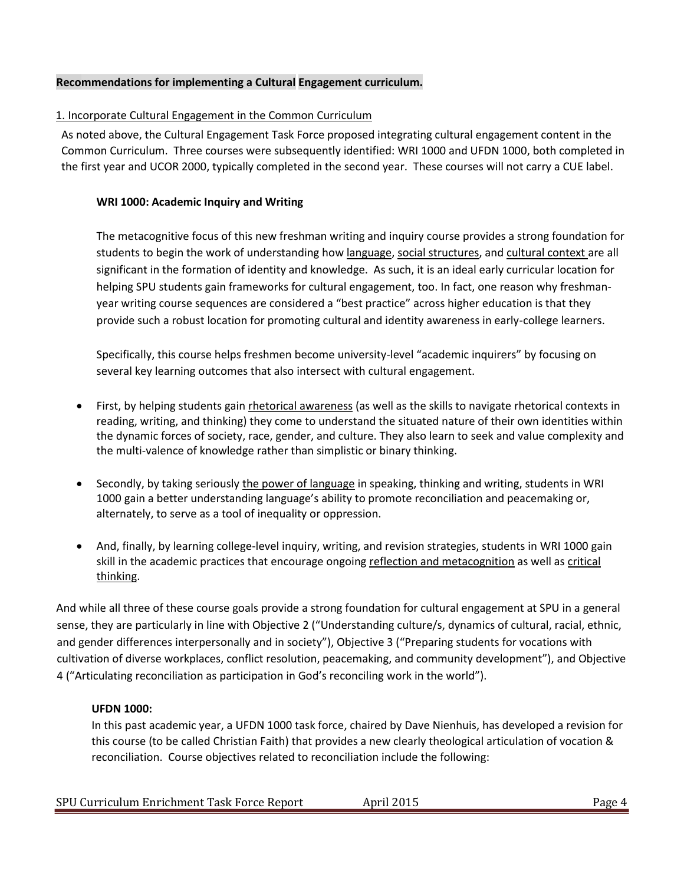#### **Recommendations for implementing a Cultural Engagement curriculum.**

#### 1. Incorporate Cultural Engagement in the Common Curriculum

As noted above, the Cultural Engagement Task Force proposed integrating cultural engagement content in the Common Curriculum. Three courses were subsequently identified: WRI 1000 and UFDN 1000, both completed in the first year and UCOR 2000, typically completed in the second year. These courses will not carry a CUE label.

#### **WRI 1000: Academic Inquiry and Writing**

The metacognitive focus of this new freshman writing and inquiry course provides a strong foundation for students to begin the work of understanding how language, social structures, and cultural context are all significant in the formation of identity and knowledge. As such, it is an ideal early curricular location for helping SPU students gain frameworks for cultural engagement, too. In fact, one reason why freshmanyear writing course sequences are considered a "best practice" across higher education is that they provide such a robust location for promoting cultural and identity awareness in early-college learners.

Specifically, this course helps freshmen become university-level "academic inquirers" by focusing on several key learning outcomes that also intersect with cultural engagement.

- First, by helping students gain rhetorical awareness (as well as the skills to navigate rhetorical contexts in reading, writing, and thinking) they come to understand the situated nature of their own identities within the dynamic forces of society, race, gender, and culture. They also learn to seek and value complexity and the multi-valence of knowledge rather than simplistic or binary thinking.
- Secondly, by taking seriously the power of language in speaking, thinking and writing, students in WRI 1000 gain a better understanding language's ability to promote reconciliation and peacemaking or, alternately, to serve as a tool of inequality or oppression.
- And, finally, by learning college-level inquiry, writing, and revision strategies, students in WRI 1000 gain skill in the academic practices that encourage ongoing reflection and metacognition as well as critical thinking.

And while all three of these course goals provide a strong foundation for cultural engagement at SPU in a general sense, they are particularly in line with Objective 2 ("Understanding culture/s, dynamics of cultural, racial, ethnic, and gender differences interpersonally and in society"), Objective 3 ("Preparing students for vocations with cultivation of diverse workplaces, conflict resolution, peacemaking, and community development"), and Objective 4 ("Articulating reconciliation as participation in God's reconciling work in the world").

#### **UFDN 1000:**

In this past academic year, a UFDN 1000 task force, chaired by Dave Nienhuis, has developed a revision for this course (to be called Christian Faith) that provides a new clearly theological articulation of vocation & reconciliation. Course objectives related to reconciliation include the following:

|  | SPU Curriculum Enrichment Task Force Report | April 2015 | Page 4 |
|--|---------------------------------------------|------------|--------|
|--|---------------------------------------------|------------|--------|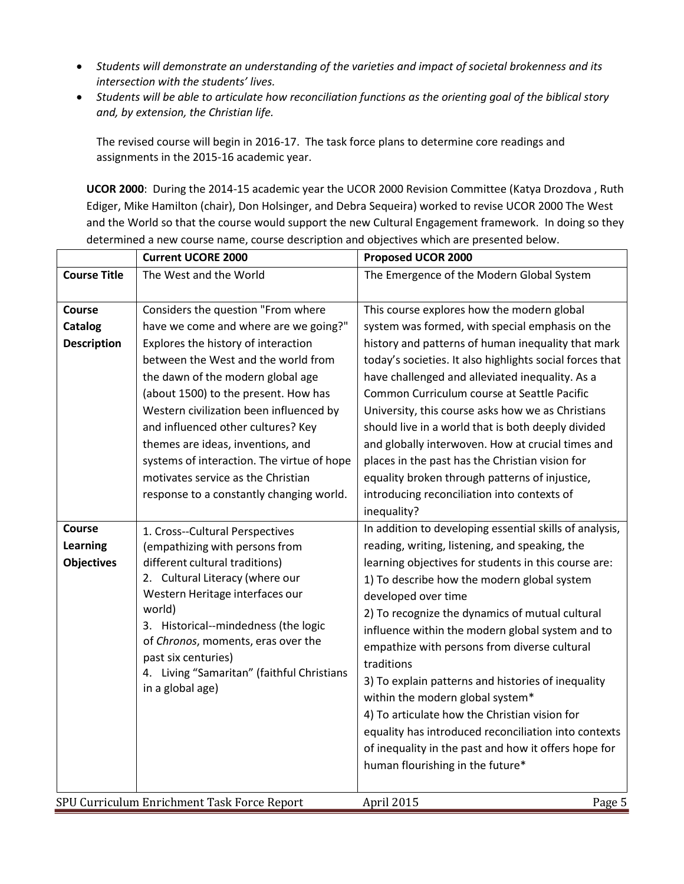- *Students will demonstrate an understanding of the varieties and impact of societal brokenness and its intersection with the students' lives.*
- *Students will be able to articulate how reconciliation functions as the orienting goal of the biblical story and, by extension, the Christian life.*

The revised course will begin in 2016-17. The task force plans to determine core readings and assignments in the 2015-16 academic year.

**UCOR 2000**: During the 2014-15 academic year the UCOR 2000 Revision Committee (Katya Drozdova , Ruth Ediger, Mike Hamilton (chair), Don Holsinger, and Debra Sequeira) worked to revise UCOR 2000 The West and the World so that the course would support the new Cultural Engagement framework. In doing so they determined a new course name, course description and objectives which are presented below.

|                     | <b>Current UCORE 2000</b>                                 | Proposed UCOR 2000                                       |
|---------------------|-----------------------------------------------------------|----------------------------------------------------------|
| <b>Course Title</b> | The West and the World                                    | The Emergence of the Modern Global System                |
|                     |                                                           |                                                          |
| <b>Course</b>       | Considers the question "From where                        | This course explores how the modern global               |
| <b>Catalog</b>      | have we come and where are we going?"                     | system was formed, with special emphasis on the          |
| <b>Description</b>  | Explores the history of interaction                       | history and patterns of human inequality that mark       |
|                     | between the West and the world from                       | today's societies. It also highlights social forces that |
|                     | the dawn of the modern global age                         | have challenged and alleviated inequality. As a          |
|                     | (about 1500) to the present. How has                      | Common Curriculum course at Seattle Pacific              |
|                     | Western civilization been influenced by                   | University, this course asks how we as Christians        |
|                     | and influenced other cultures? Key                        | should live in a world that is both deeply divided       |
|                     | themes are ideas, inventions, and                         | and globally interwoven. How at crucial times and        |
|                     | systems of interaction. The virtue of hope                | places in the past has the Christian vision for          |
|                     | motivates service as the Christian                        | equality broken through patterns of injustice,           |
|                     | response to a constantly changing world.                  | introducing reconciliation into contexts of              |
|                     |                                                           | inequality?                                              |
| Course              | 1. Cross--Cultural Perspectives                           | In addition to developing essential skills of analysis,  |
| <b>Learning</b>     | (empathizing with persons from                            | reading, writing, listening, and speaking, the           |
| <b>Objectives</b>   | different cultural traditions)                            | learning objectives for students in this course are:     |
|                     | 2. Cultural Literacy (where our                           | 1) To describe how the modern global system              |
|                     | Western Heritage interfaces our                           | developed over time                                      |
|                     | world)                                                    | 2) To recognize the dynamics of mutual cultural          |
|                     | 3. Historical--mindedness (the logic                      | influence within the modern global system and to         |
|                     | of Chronos, moments, eras over the<br>past six centuries) | empathize with persons from diverse cultural             |
|                     | 4. Living "Samaritan" (faithful Christians                | traditions                                               |
|                     | in a global age)                                          | 3) To explain patterns and histories of inequality       |
|                     |                                                           | within the modern global system*                         |
|                     |                                                           | 4) To articulate how the Christian vision for            |
|                     |                                                           | equality has introduced reconciliation into contexts     |
|                     |                                                           | of inequality in the past and how it offers hope for     |
|                     |                                                           | human flourishing in the future*                         |
|                     |                                                           |                                                          |
|                     | SPU Curriculum Enrichment Task Force Report               | April 2015<br>Page 5                                     |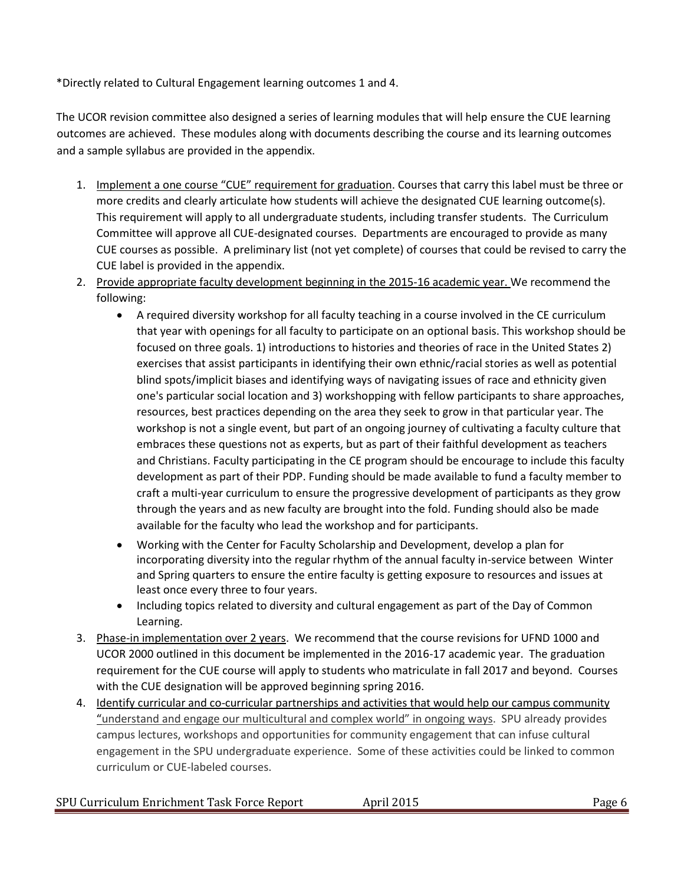\*Directly related to Cultural Engagement learning outcomes 1 and 4.

The UCOR revision committee also designed a series of learning modules that will help ensure the CUE learning outcomes are achieved. These modules along with documents describing the course and its learning outcomes and a sample syllabus are provided in the appendix.

- 1. Implement a one course "CUE" requirement for graduation. Courses that carry this label must be three or more credits and clearly articulate how students will achieve the designated CUE learning outcome(s). This requirement will apply to all undergraduate students, including transfer students. The Curriculum Committee will approve all CUE-designated courses. Departments are encouraged to provide as many CUE courses as possible. A preliminary list (not yet complete) of courses that could be revised to carry the CUE label is provided in the appendix.
- 2. Provide appropriate faculty development beginning in the 2015-16 academic year. We recommend the following:
	- A required diversity workshop for all faculty teaching in a course involved in the CE curriculum that year with openings for all faculty to participate on an optional basis. This workshop should be focused on three goals. 1) introductions to histories and theories of race in the United States 2) exercises that assist participants in identifying their own ethnic/racial stories as well as potential blind spots/implicit biases and identifying ways of navigating issues of race and ethnicity given one's particular social location and 3) workshopping with fellow participants to share approaches, resources, best practices depending on the area they seek to grow in that particular year. The workshop is not a single event, but part of an ongoing journey of cultivating a faculty culture that embraces these questions not as experts, but as part of their faithful development as teachers and Christians. Faculty participating in the CE program should be encourage to include this faculty development as part of their PDP. Funding should be made available to fund a faculty member to craft a multi-year curriculum to ensure the progressive development of participants as they grow through the years and as new faculty are brought into the fold. Funding should also be made available for the faculty who lead the workshop and for participants.
	- Working with the Center for Faculty Scholarship and Development, develop a plan for incorporating diversity into the regular rhythm of the annual faculty in-service between Winter and Spring quarters to ensure the entire faculty is getting exposure to resources and issues at least once every three to four years.
	- Including topics related to diversity and cultural engagement as part of the Day of Common Learning.
- 3. Phase-in implementation over 2 years. We recommend that the course revisions for UFND 1000 and UCOR 2000 outlined in this document be implemented in the 2016-17 academic year. The graduation requirement for the CUE course will apply to students who matriculate in fall 2017 and beyond. Courses with the CUE designation will be approved beginning spring 2016.
- 4. Identify curricular and co-curricular partnerships and activities that would help our campus community "understand and engage our multicultural and complex world" in ongoing ways. SPU already provides campus lectures, workshops and opportunities for community engagement that can infuse cultural engagement in the SPU undergraduate experience. Some of these activities could be linked to common curriculum or CUE-labeled courses.

| SPU Curriculum Enrichment Task Force Report | April 2015 | Page 6 |
|---------------------------------------------|------------|--------|
|---------------------------------------------|------------|--------|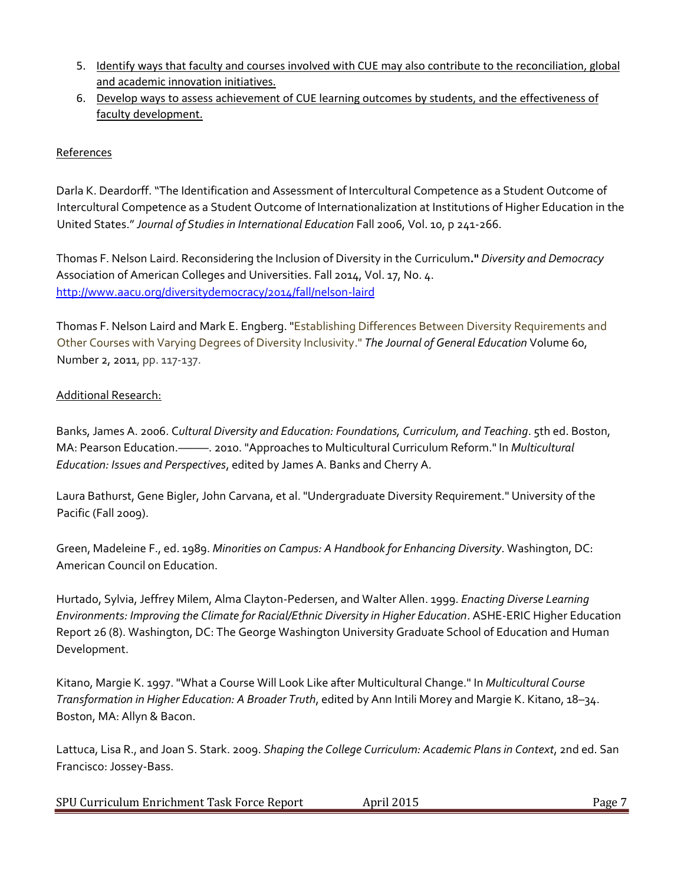- 5. Identify ways that faculty and courses involved with CUE may also contribute to the reconciliation, global and academic innovation initiatives.
- 6. Develop ways to assess achievement of CUE learning outcomes by students, and the effectiveness of faculty development.

# References

Darla K. Deardorff. "The Identification and Assessment of Intercultural Competence as a Student Outcome of Intercultural Competence as a Student Outcome of Internationalization at Institutions of Higher Education in the United States." *Journal of Studies in International Education* Fall 2006, Vol. 10, p 241-266.

Thomas F. Nelson Laird. Reconsidering the Inclusion of Diversity in the Curriculum**."** *Diversity and Democracy*  Association of American Colleges and Universities. Fall 2014, Vol. 17, No. 4. <http://www.aacu.org/diversitydemocracy/2014/fall/nelson-laird>

Thomas F. Nelson Laird and Mark E. [Engberg.](http://muse.jhu.edu/results?section1=author&search1=Mark%20E.%20Engberg) "Establishing Differences Between Diversity Requirements and Other Courses with Varying Degrees of Diversity Inclusivity." *[The Journal of General Education](http://muse.jhu.edu/journals/journal_of_general_education)* [Volume 60,](http://muse.jhu.edu/journals/journal_of_general_education/toc/jge.60.2.html)  [Number 2, 2011,](http://muse.jhu.edu/journals/journal_of_general_education/toc/jge.60.2.html) pp. 117-137.

# Additional Research:

Banks, James A. 2006. C*ultural Diversity and Education: Foundations, Curriculum, and Teaching*. 5th ed. Boston, MA: Pearson Education.———. 2010. "Approaches to Multicultural Curriculum Reform." In *Multicultural Education: Issues and Perspectives*, edited by James A. Banks and Cherry A.

Laura Bathurst, Gene Bigler, John Carvana, et al. "Undergraduate Diversity Requirement." University of the Pacific (Fall 2009).

Green, Madeleine F., ed. 1989. *Minorities on Campus: A Handbook for Enhancing Diversity*. Washington, DC: American Council on Education.

Hurtado, Sylvia, Jeffrey Milem, Alma Clayton-Pedersen, and Walter Allen. 1999. *Enacting Diverse Learning Environments: Improving the Climate for Racial/Ethnic Diversity in Higher Education*. ASHE-ERIC Higher Education Report 26 (8). Washington, DC: The George Washington University Graduate School of Education and Human Development.

Kitano, Margie K. 1997. "What a Course Will Look Like after Multicultural Change." In *Multicultural Course Transformation in Higher Education: A Broader Truth*, edited by Ann Intili Morey and Margie K. Kitano, 18–34. Boston, MA: Allyn & Bacon.

Lattuca, Lisa R., and Joan S. Stark. 2009. *Shaping the College Curriculum: Academic Plans in Context*, 2nd ed. San Francisco: Jossey-Bass.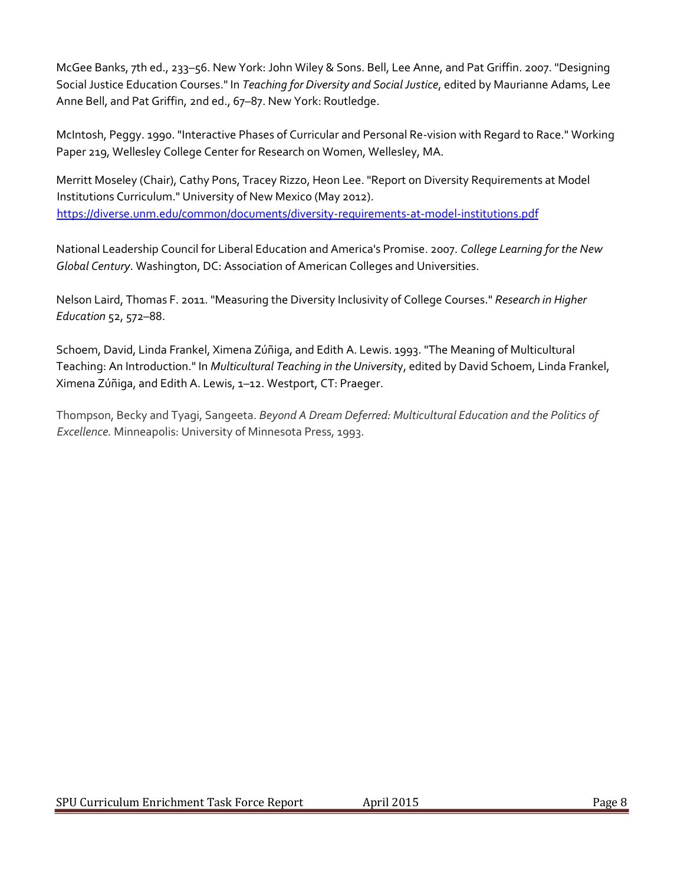McGee Banks, 7th ed., 233–56. New York: John Wiley & Sons. Bell, Lee Anne, and Pat Griffin. 2007. "Designing Social Justice Education Courses." In *Teaching for Diversity and Social Justice*, edited by Maurianne Adams, Lee Anne Bell, and Pat Griffin, 2nd ed., 67–87. New York: Routledge.

McIntosh, Peggy. 1990. "Interactive Phases of Curricular and Personal Re-vision with Regard to Race." Working Paper 219, Wellesley College Center for Research on Women, Wellesley, MA.

Merritt Moseley (Chair), Cathy Pons, Tracey Rizzo, Heon Lee. "Report on Diversity Requirements at Model Institutions Curriculum." University of New Mexico (May 2012). <https://diverse.unm.edu/common/documents/diversity-requirements-at-model-institutions.pdf>

National Leadership Council for Liberal Education and America's Promise. 2007. *College Learning for the New Global Century*. Washington, DC: Association of American Colleges and Universities.

Nelson Laird, Thomas F. 2011. "Measuring the Diversity Inclusivity of College Courses." *Research in Higher Education* 52, 572–88.

Schoem, David, Linda Frankel, Ximena Zúñiga, and Edith A. Lewis. 1993. "The Meaning of Multicultural Teaching: An Introduction." In *Multicultural Teaching in the Universit*y, edited by David Schoem, Linda Frankel, Ximena Zúñiga, and Edith A. Lewis, 1–12. Westport, CT: Praeger.

Thompson, Becky and Tyagi, Sangeeta. *Beyond A Dream Deferred: Multicultural Education and the Politics of Excellence.* Minneapolis: University of Minnesota Press, 1993.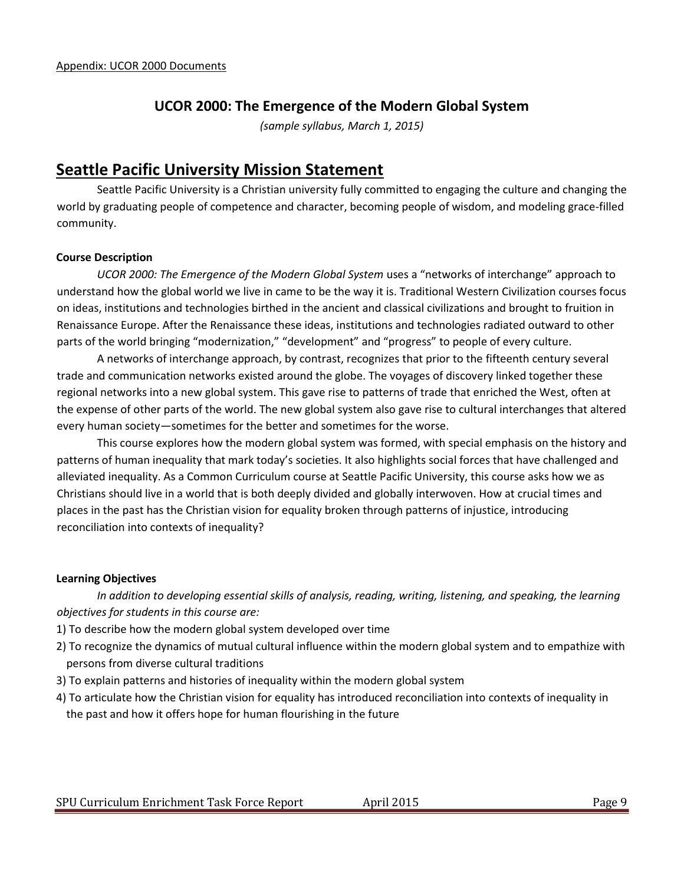# **UCOR 2000: The Emergence of the Modern Global System**

*(sample syllabus, March 1, 2015)*

# **Seattle Pacific University Mission Statement**

Seattle Pacific University is a Christian university fully committed to engaging the culture and changing the world by graduating people of competence and character, becoming people of wisdom, and modeling grace-filled community.

#### **Course Description**

*UCOR 2000: The Emergence of the Modern Global System* uses a "networks of interchange" approach to understand how the global world we live in came to be the way it is. Traditional Western Civilization courses focus on ideas, institutions and technologies birthed in the ancient and classical civilizations and brought to fruition in Renaissance Europe. After the Renaissance these ideas, institutions and technologies radiated outward to other parts of the world bringing "modernization," "development" and "progress" to people of every culture.

A networks of interchange approach, by contrast, recognizes that prior to the fifteenth century several trade and communication networks existed around the globe. The voyages of discovery linked together these regional networks into a new global system. This gave rise to patterns of trade that enriched the West, often at the expense of other parts of the world. The new global system also gave rise to cultural interchanges that altered every human society—sometimes for the better and sometimes for the worse.

This course explores how the modern global system was formed, with special emphasis on the history and patterns of human inequality that mark today's societies. It also highlights social forces that have challenged and alleviated inequality. As a Common Curriculum course at Seattle Pacific University, this course asks how we as Christians should live in a world that is both deeply divided and globally interwoven. How at crucial times and places in the past has the Christian vision for equality broken through patterns of injustice, introducing reconciliation into contexts of inequality?

#### **Learning Objectives**

*In addition to developing essential skills of analysis, reading, writing, listening, and speaking, the learning objectives for students in this course are:*

- 1) To describe how the modern global system developed over time
- 2) To recognize the dynamics of mutual cultural influence within the modern global system and to empathize with persons from diverse cultural traditions
- 3) To explain patterns and histories of inequality within the modern global system
- 4) To articulate how the Christian vision for equality has introduced reconciliation into contexts of inequality in the past and how it offers hope for human flourishing in the future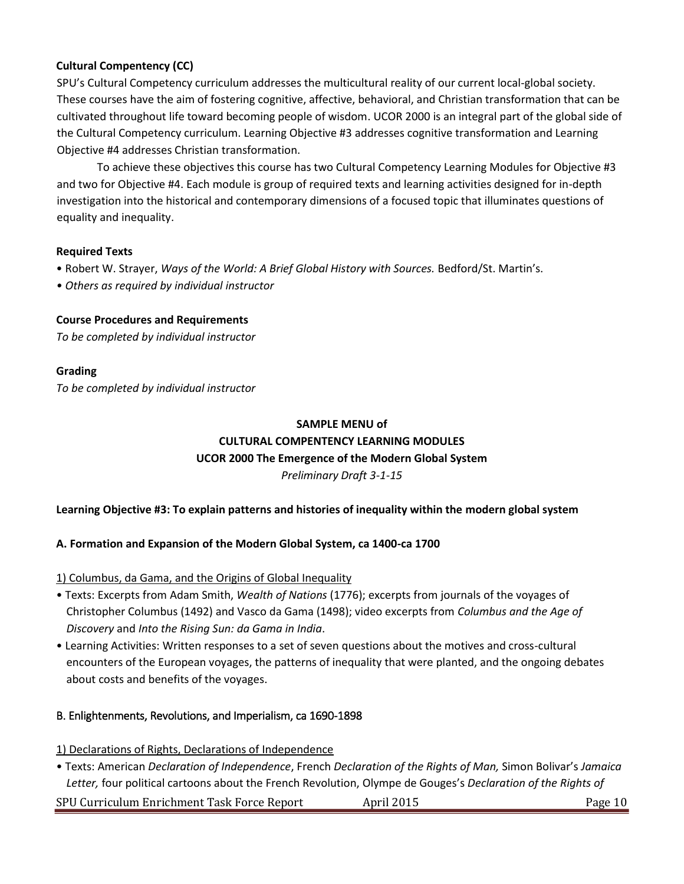## **Cultural Compentency (CC)**

SPU's Cultural Competency curriculum addresses the multicultural reality of our current local-global society. These courses have the aim of fostering cognitive, affective, behavioral, and Christian transformation that can be cultivated throughout life toward becoming people of wisdom. UCOR 2000 is an integral part of the global side of the Cultural Competency curriculum. Learning Objective #3 addresses cognitive transformation and Learning Objective #4 addresses Christian transformation.

To achieve these objectives this course has two Cultural Competency Learning Modules for Objective #3 and two for Objective #4. Each module is group of required texts and learning activities designed for in-depth investigation into the historical and contemporary dimensions of a focused topic that illuminates questions of equality and inequality.

### **Required Texts**

- Robert W. Strayer, *Ways of the World: A Brief Global History with Sources.* Bedford/St. Martin's.
- *Others as required by individual instructor*

### **Course Procedures and Requirements**

*To be completed by individual instructor*

#### **Grading**

*To be completed by individual instructor*

# **SAMPLE MENU of CULTURAL COMPENTENCY LEARNING MODULES UCOR 2000 The Emergence of the Modern Global System** *Preliminary Draft 3-1-15*

### **Learning Objective #3: To explain patterns and histories of inequality within the modern global system**

### **A. Formation and Expansion of the Modern Global System, ca 1400-ca 1700**

1) Columbus, da Gama, and the Origins of Global Inequality

- Texts: Excerpts from Adam Smith, *Wealth of Nations* (1776); excerpts from journals of the voyages of Christopher Columbus (1492) and Vasco da Gama (1498); video excerpts from *Columbus and the Age of Discovery* and *Into the Rising Sun: da Gama in India*.
- Learning Activities: Written responses to a set of seven questions about the motives and cross-cultural encounters of the European voyages, the patterns of inequality that were planted, and the ongoing debates about costs and benefits of the voyages.

### B. Enlightenments, Revolutions, and Imperialism, ca 1690-1898

- 1) Declarations of Rights, Declarations of Independence
- Texts: American *Declaration of Independence*, French *Declaration of the Rights of Man,* Simon Bolivar's *Jamaica Letter,* four political cartoons about the French Revolution, Olympe de Gouges's *Declaration of the Rights of*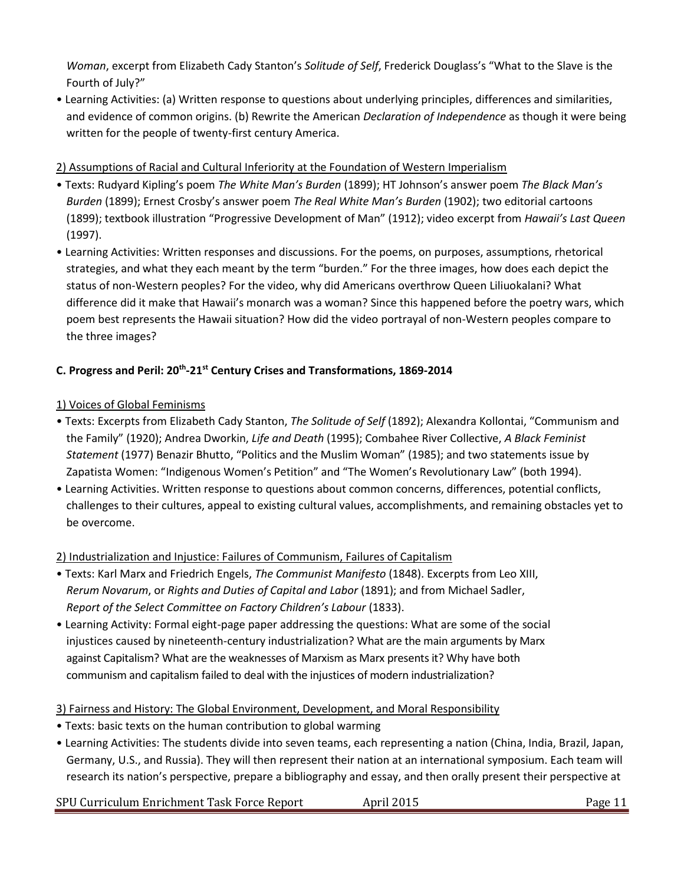*Woman*, excerpt from Elizabeth Cady Stanton's *Solitude of Self*, Frederick Douglass's "What to the Slave is the Fourth of July?"

• Learning Activities: (a) Written response to questions about underlying principles, differences and similarities, and evidence of common origins. (b) Rewrite the American *Declaration of Independence* as though it were being written for the people of twenty-first century America.

# 2) Assumptions of Racial and Cultural Inferiority at the Foundation of Western Imperialism

- Texts: Rudyard Kipling's poem *The White Man's Burden* (1899); HT Johnson's answer poem *The Black Man's Burden* (1899); Ernest Crosby's answer poem *The Real White Man's Burden* (1902); two editorial cartoons (1899); textbook illustration "Progressive Development of Man" (1912); video excerpt from *Hawaii's Last Queen* (1997).
- Learning Activities: Written responses and discussions. For the poems, on purposes, assumptions, rhetorical strategies, and what they each meant by the term "burden." For the three images, how does each depict the status of non-Western peoples? For the video, why did Americans overthrow Queen Liliuokalani? What difference did it make that Hawaii's monarch was a woman? Since this happened before the poetry wars, which poem best represents the Hawaii situation? How did the video portrayal of non-Western peoples compare to the three images?

# **C. Progress and Peril: 20th -21st Century Crises and Transformations, 1869-2014**

# 1) Voices of Global Feminisms

- Texts: Excerpts from Elizabeth Cady Stanton, *The Solitude of Self* (1892); Alexandra Kollontai, "Communism and the Family" (1920); Andrea Dworkin, *Life and Death* (1995); Combahee River Collective, *A Black Feminist Statement* (1977) Benazir Bhutto, "Politics and the Muslim Woman" (1985); and two statements issue by Zapatista Women: "Indigenous Women's Petition" and "The Women's Revolutionary Law" (both 1994).
- Learning Activities. Written response to questions about common concerns, differences, potential conflicts, challenges to their cultures, appeal to existing cultural values, accomplishments, and remaining obstacles yet to be overcome.

# 2) Industrialization and Injustice: Failures of Communism, Failures of Capitalism

- Texts: Karl Marx and Friedrich Engels, *The Communist Manifesto* (1848). Excerpts from Leo XIII, *Rerum Novarum*, or *Rights and Duties of Capital and Labor* (1891); and from Michael Sadler, *Report of the Select Committee on Factory Children's Labour* (1833).
- Learning Activity: Formal eight-page paper addressing the questions: What are some of the social injustices caused by nineteenth-century industrialization? What are the main arguments by Marx against Capitalism? What are the weaknesses of Marxism as Marx presents it? Why have both communism and capitalism failed to deal with the injustices of modern industrialization?

# 3) Fairness and History: The Global Environment, Development, and Moral Responsibility

- Texts: basic texts on the human contribution to global warming
- Learning Activities: The students divide into seven teams, each representing a nation (China, India, Brazil, Japan, Germany, U.S., and Russia). They will then represent their nation at an international symposium. Each team will research its nation's perspective, prepare a bibliography and essay, and then orally present their perspective at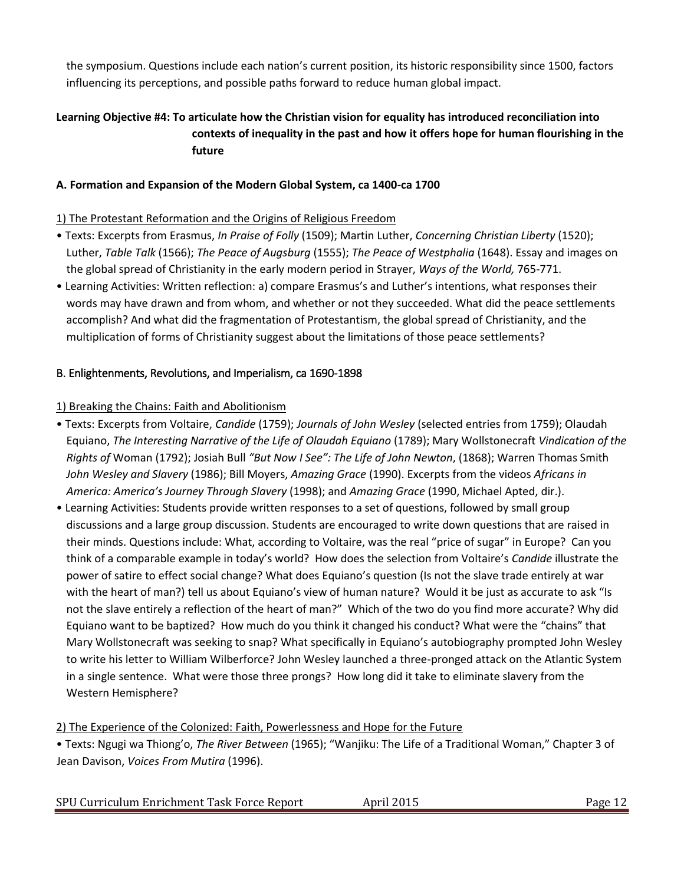the symposium. Questions include each nation's current position, its historic responsibility since 1500, factors influencing its perceptions, and possible paths forward to reduce human global impact.

# **Learning Objective #4: To articulate how the Christian vision for equality has introduced reconciliation into contexts of inequality in the past and how it offers hope for human flourishing in the future**

## **A. Formation and Expansion of the Modern Global System, ca 1400-ca 1700**

## 1) The Protestant Reformation and the Origins of Religious Freedom

- Texts: Excerpts from Erasmus, *In Praise of Folly* (1509); Martin Luther, *Concerning Christian Liberty* (1520); Luther, *Table Talk* (1566); *The Peace of Augsburg* (1555); *The Peace of Westphalia* (1648). Essay and images on the global spread of Christianity in the early modern period in Strayer, *Ways of the World,* 765-771.
- Learning Activities: Written reflection: a) compare Erasmus's and Luther's intentions, what responses their words may have drawn and from whom, and whether or not they succeeded. What did the peace settlements accomplish? And what did the fragmentation of Protestantism, the global spread of Christianity, and the multiplication of forms of Christianity suggest about the limitations of those peace settlements?

## B. Enlightenments, Revolutions, and Imperialism, ca 1690-1898

## 1) Breaking the Chains: Faith and Abolitionism

- Texts: Excerpts from Voltaire, *Candide* (1759); *Journals of John Wesley* (selected entries from 1759); Olaudah Equiano, *The Interesting Narrative of the Life of Olaudah Equiano* (1789); Mary Wollstonecraft *Vindication of the Rights of* Woman (1792); Josiah Bull *"But Now I See": The Life of John Newton*, (1868); Warren Thomas Smith *John Wesley and Slavery* (1986); Bill Moyers, *Amazing Grace* (1990). Excerpts from the videos *Africans in America: America's Journey Through Slavery* (1998); and *Amazing Grace* (1990, Michael Apted, dir.).
- Learning Activities: Students provide written responses to a set of questions, followed by small group discussions and a large group discussion. Students are encouraged to write down questions that are raised in their minds. Questions include: What, according to Voltaire, was the real "price of sugar" in Europe? Can you think of a comparable example in today's world? How does the selection from Voltaire's *Candide* illustrate the power of satire to effect social change? What does Equiano's question (Is not the slave trade entirely at war with the heart of man?) tell us about Equiano's view of human nature? Would it be just as accurate to ask "Is not the slave entirely a reflection of the heart of man?" Which of the two do you find more accurate? Why did Equiano want to be baptized? How much do you think it changed his conduct? What were the "chains" that Mary Wollstonecraft was seeking to snap? What specifically in Equiano's autobiography prompted John Wesley to write his letter to William Wilberforce? John Wesley launched a three-pronged attack on the Atlantic System in a single sentence. What were those three prongs? How long did it take to eliminate slavery from the Western Hemisphere?

### 2) The Experience of the Colonized: Faith, Powerlessness and Hope for the Future

• Texts: Ngugi wa Thiong'o, *The River Between* (1965); "Wanjiku: The Life of a Traditional Woman," Chapter 3 of Jean Davison, *Voices From Mutira* (1996).

|  | SPU Curriculum Enrichment Task Force Report | April 2015 | $P$ age |
|--|---------------------------------------------|------------|---------|
|--|---------------------------------------------|------------|---------|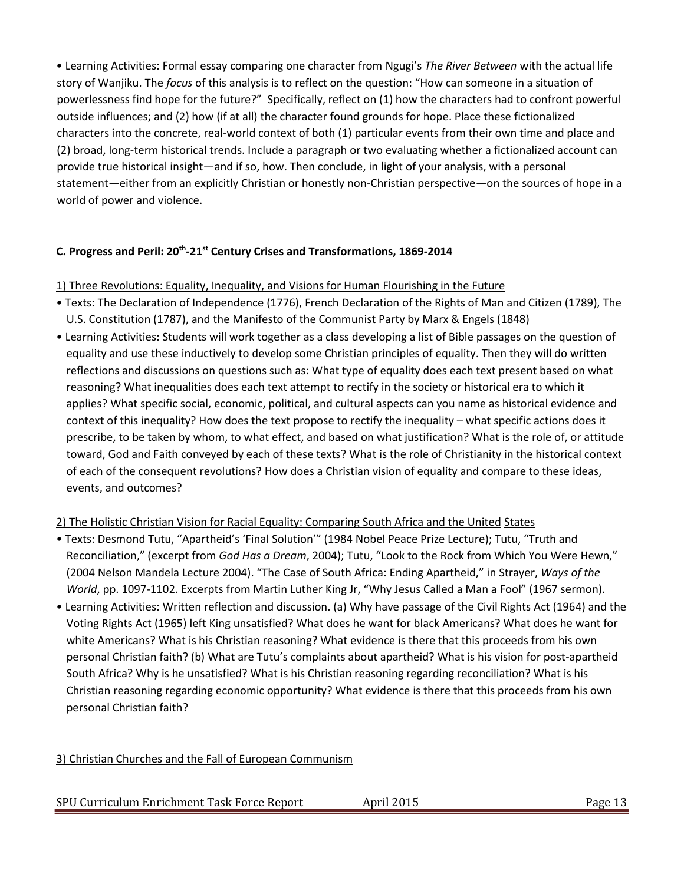• Learning Activities: Formal essay comparing one character from Ngugi's *The River Between* with the actual life story of Wanjiku. The *focus* of this analysis is to reflect on the question: "How can someone in a situation of powerlessness find hope for the future?" Specifically, reflect on (1) how the characters had to confront powerful outside influences; and (2) how (if at all) the character found grounds for hope. Place these fictionalized characters into the concrete, real-world context of both (1) particular events from their own time and place and (2) broad, long-term historical trends. Include a paragraph or two evaluating whether a fictionalized account can provide true historical insight—and if so, how. Then conclude, in light of your analysis, with a personal statement—either from an explicitly Christian or honestly non-Christian perspective—on the sources of hope in a world of power and violence.

## **C. Progress and Peril: 20th -21st Century Crises and Transformations, 1869-2014**

#### 1) Three Revolutions: Equality, Inequality, and Visions for Human Flourishing in the Future

- Texts: The Declaration of Independence (1776), French Declaration of the Rights of Man and Citizen (1789), The U.S. Constitution (1787), and the Manifesto of the Communist Party by Marx & Engels (1848)
- Learning Activities: Students will work together as a class developing a list of Bible passages on the question of equality and use these inductively to develop some Christian principles of equality. Then they will do written reflections and discussions on questions such as: What type of equality does each text present based on what reasoning? What inequalities does each text attempt to rectify in the society or historical era to which it applies? What specific social, economic, political, and cultural aspects can you name as historical evidence and context of this inequality? How does the text propose to rectify the inequality – what specific actions does it prescribe, to be taken by whom, to what effect, and based on what justification? What is the role of, or attitude toward, God and Faith conveyed by each of these texts? What is the role of Christianity in the historical context of each of the consequent revolutions? How does a Christian vision of equality and compare to these ideas, events, and outcomes?

### 2) The Holistic Christian Vision for Racial Equality: Comparing South Africa and the United States

- Texts: Desmond Tutu, "Apartheid's 'Final Solution'" (1984 Nobel Peace Prize Lecture); Tutu, "Truth and Reconciliation," (excerpt from *God Has a Dream*, 2004); Tutu, "Look to the Rock from Which You Were Hewn," (2004 Nelson Mandela Lecture 2004). "The Case of South Africa: Ending Apartheid," in Strayer, *Ways of the World*, pp. 1097-1102. Excerpts from Martin Luther King Jr, "Why Jesus Called a Man a Fool" (1967 sermon).
- Learning Activities: Written reflection and discussion. (a) Why have passage of the Civil Rights Act (1964) and the Voting Rights Act (1965) left King unsatisfied? What does he want for black Americans? What does he want for white Americans? What is his Christian reasoning? What evidence is there that this proceeds from his own personal Christian faith? (b) What are Tutu's complaints about apartheid? What is his vision for post-apartheid South Africa? Why is he unsatisfied? What is his Christian reasoning regarding reconciliation? What is his Christian reasoning regarding economic opportunity? What evidence is there that this proceeds from his own personal Christian faith?

### 3) Christian Churches and the Fall of European Communism